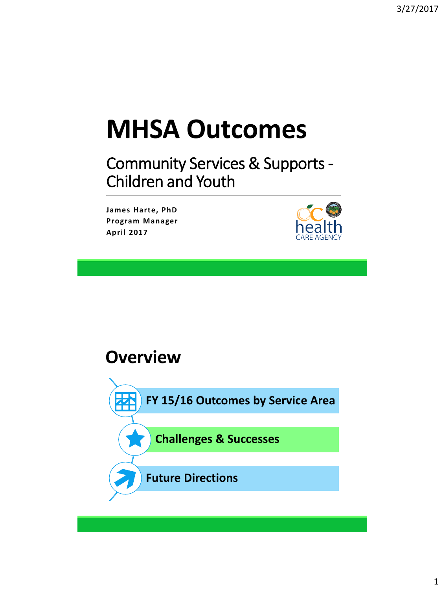# **MHSA Outcomes**

Community Services & Supports - Children and Youth

**James Harte, PhD Program Manager April 2017**



#### **Overview**

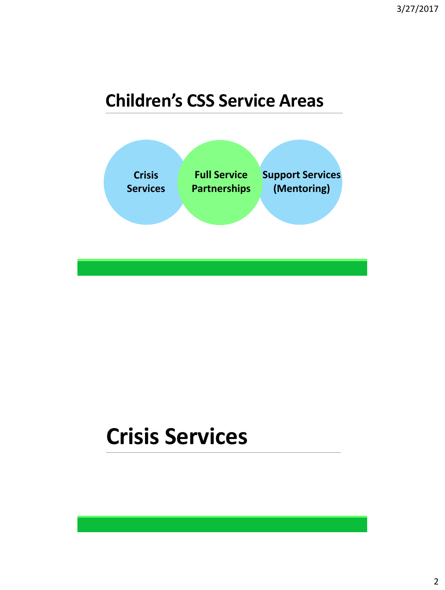#### **Children's CSS Service Areas**



#### **Crisis Services**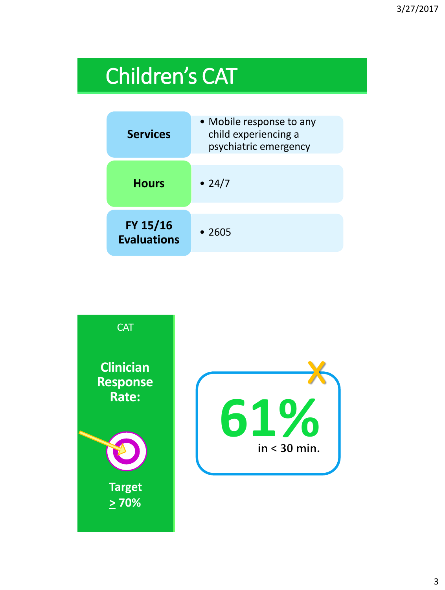### Children's CAT

| <b>Services</b>                | • Mobile response to any<br>child experiencing a<br>psychiatric emergency |
|--------------------------------|---------------------------------------------------------------------------|
| <b>Hours</b>                   | • 24/7                                                                    |
| FY 15/16<br><b>Evaluations</b> | • 2605                                                                    |

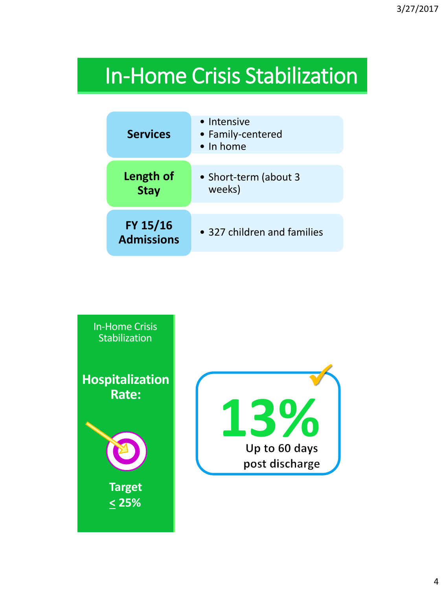#### In-Home Crisis Stabilization

| <b>Services</b>               | • Intensive<br>• Family-centered<br>• In home |
|-------------------------------|-----------------------------------------------|
| Length of<br><b>Stay</b>      | • Short-term (about 3<br>weeks)               |
| FY 15/16<br><b>Admissions</b> | • 327 children and families                   |

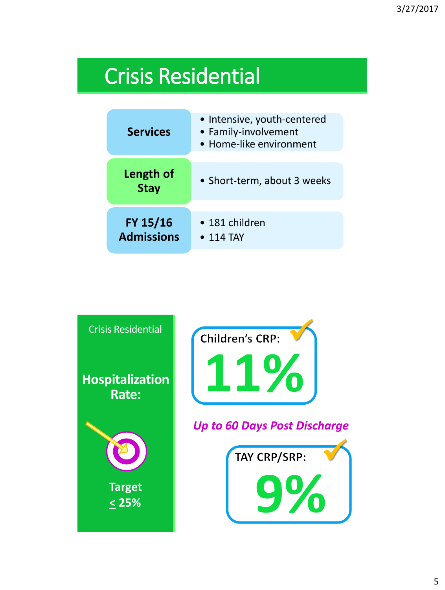### Crisis Residential

| <b>Services</b>               | • Intensive, youth-centered<br>• Family-involvement<br>• Home-like environment |
|-------------------------------|--------------------------------------------------------------------------------|
| Length of<br><b>Stay</b>      | • Short-term, about 3 weeks                                                    |
| FY 15/16<br><b>Admissions</b> | • 181 children<br>$\bullet$ 114 TAY                                            |

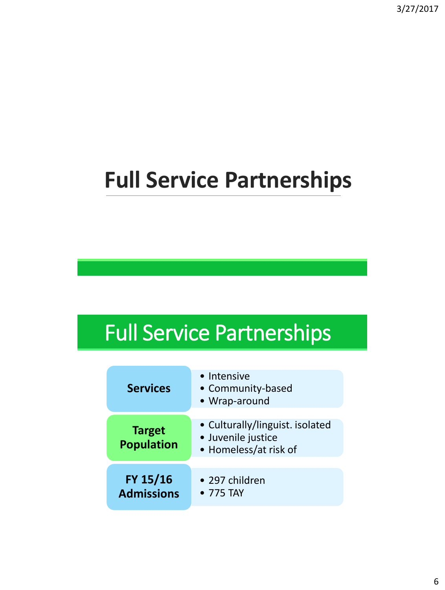## **Full Service Partnerships**

### Full Service Partnerships

| <b>Services</b>                    | • Intensive<br>• Community-based<br>• Wrap-around                              |
|------------------------------------|--------------------------------------------------------------------------------|
| <b>Target</b><br><b>Population</b> | • Culturally/linguist. isolated<br>· Juvenile justice<br>• Homeless/at risk of |
| FY 15/16<br><b>Admissions</b>      | • 297 children<br>• 775 TAY                                                    |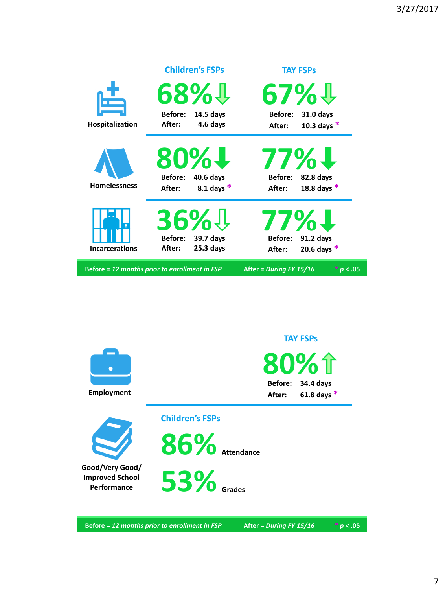|                       | <b>Children's FSPs</b>                                                | <b>TAY FSPs</b>                                                      |
|-----------------------|-----------------------------------------------------------------------|----------------------------------------------------------------------|
| $\mathbf{f}$          | 68% <b>!</b>                                                          | 67%↓                                                                 |
| Hospitalization       | Before:<br>14.5 days<br>4.6 days<br>After:                            | <b>Before:</b><br>31.0 days<br>10.3 days $*$<br>After:               |
| <b>Homelessness</b>   | 80% <b>!</b><br><b>Before:</b><br>40.6 days<br>8.1 days $*$<br>After: | 77% <b>!</b><br><b>Before:</b><br>82.8 days<br>18.8 days *<br>After: |
| <b>Incarcerations</b> | 36%#<br><b>Before:</b><br>39.7 days<br>$25.3$ days<br>After:          | <b>77%1</b><br>91.2 days<br>Before:<br>20.6 days $*$<br>After:       |
|                       | <b>Before = 12 months prior to enrollment in FSP</b>                  | * p < .05<br>After = During FY 15/16                                 |



**Before** *= 12 months prior to enrollment in FSP* **After** *= During FY 15/16 \* p* **< .05**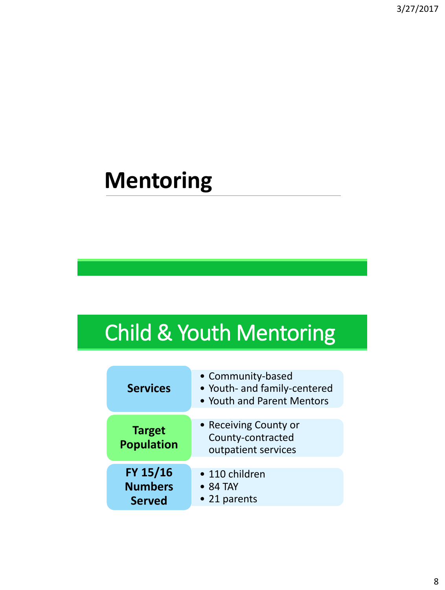### **Mentoring**

### Child & Youth Mentoring

| <b>Services</b>                             | • Community-based<br>• Youth- and family-centered<br>• Youth and Parent Mentors |
|---------------------------------------------|---------------------------------------------------------------------------------|
| <b>Target</b><br><b>Population</b>          | • Receiving County or<br>County-contracted<br>outpatient services               |
| FY 15/16<br><b>Numbers</b><br><b>Served</b> | • 110 children<br>• 84 TAY<br>• 21 parents                                      |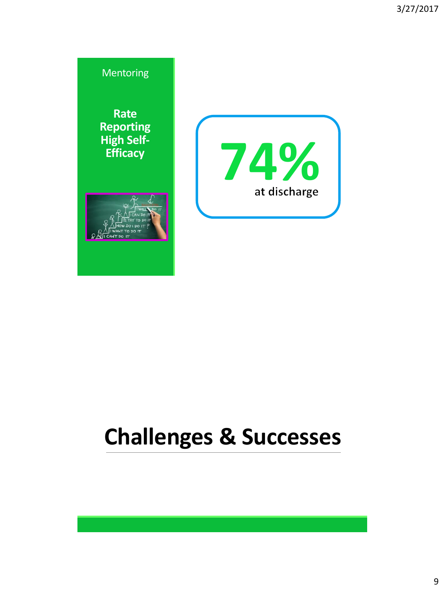

### **Challenges & Successes**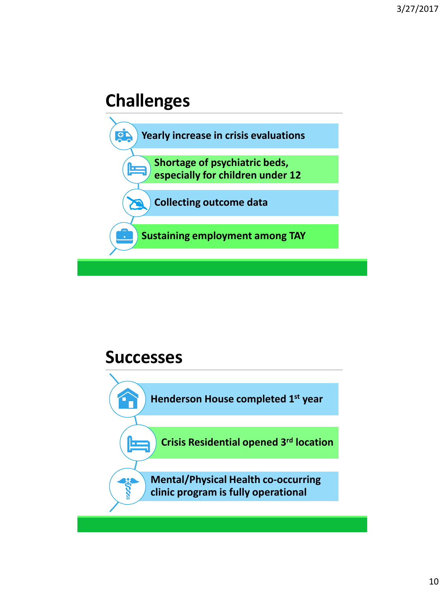#### **Challenges**



#### **Successes**

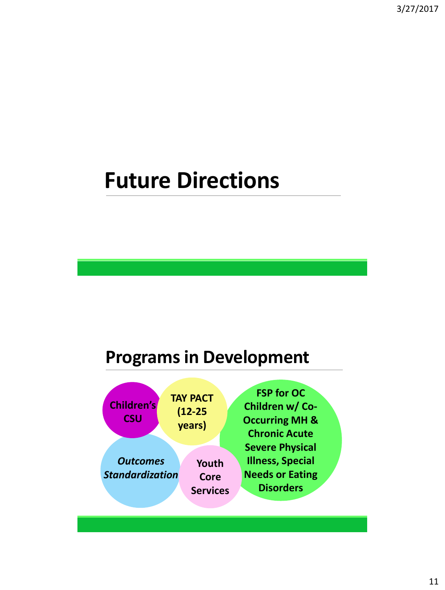3/27/2017

#### **Future Directions**

#### **Programs in Development**